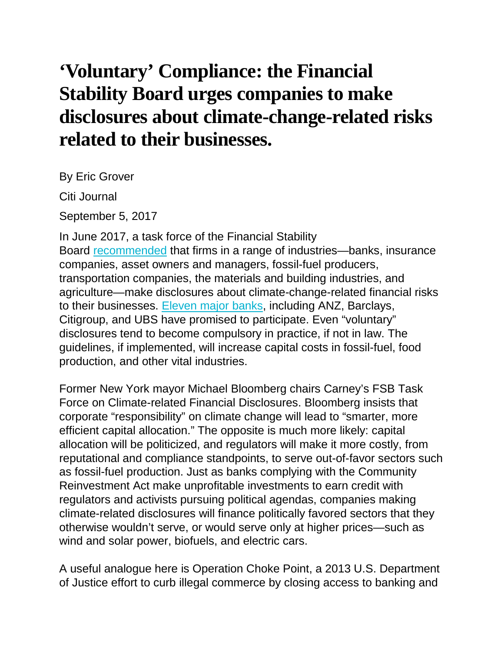## **'Voluntary' Compliance: the Financial Stability Board urges companies to make disclosures about climate-change-related risks related to their businesses.**

By Eric Grover

Citi Journal

September 5, 2017

In June 2017, a task force of the Financial Stability Board [recommended](https://www.fsb-tcfd.org/wp-content/uploads/2017/06/FINAL-TCFD-Report-062817.pdf) that firms in a range of industries—banks, insurance companies, asset owners and managers, fossil-fuel producers, transportation companies, the materials and building industries, and agriculture—make disclosures about climate-change-related financial risks to their businesses. [Eleven](http://www.unepfi.org/news/industries/banking/eleven-unep-fi-member-banks-representing-over-7-trillion-are-first-in-industry-to-jointly-pilot-the-tcfd-recommendations/) major banks, including ANZ, Barclays, Citigroup, and UBS have promised to participate. Even "voluntary" disclosures tend to become compulsory in practice, if not in law. The guidelines, if implemented, will increase capital costs in fossil-fuel, food production, and other vital industries.

Former New York mayor Michael Bloomberg chairs Carney's FSB Task Force on Climate-related Financial Disclosures. Bloomberg insists that corporate "responsibility" on climate change will lead to "smarter, more efficient capital allocation." The opposite is much more likely: capital allocation will be politicized, and regulators will make it more costly, from reputational and compliance standpoints, to serve out-of-favor sectors such as fossil-fuel production. Just as banks complying with the Community Reinvestment Act make unprofitable investments to earn credit with regulators and activists pursuing political agendas, companies making climate-related disclosures will finance politically favored sectors that they otherwise wouldn't serve, or would serve only at higher prices—such as wind and solar power, biofuels, and electric cars.

A useful analogue here is Operation Choke Point, a 2013 U.S. Department of Justice effort to curb illegal commerce by closing access to banking and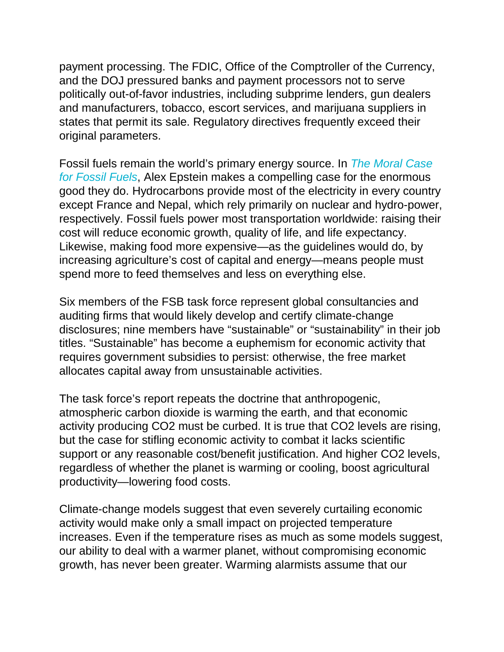payment processing. The FDIC, Office of the Comptroller of the Currency, and the DOJ pressured banks and payment processors not to serve politically out-of-favor industries, including subprime lenders, gun dealers and manufacturers, tobacco, escort services, and marijuana suppliers in states that permit its sale. Regulatory directives frequently exceed their original parameters.

Fossil fuels remain the world's primary energy source. In *The [Moral](https://www.amazon.com/Moral-Case-Fossil-Fuels/dp/1591847443/ref=sr_1_1?s=books&ie=UTF8&qid=1501523210&sr=1-1&keywords=the+moral+case+for+fossil+fuels) Case for [Fossil](https://www.amazon.com/Moral-Case-Fossil-Fuels/dp/1591847443/ref=sr_1_1?s=books&ie=UTF8&qid=1501523210&sr=1-1&keywords=the+moral+case+for+fossil+fuels) Fuels*, Alex Epstein makes a compelling case for the enormous good they do. Hydrocarbons provide most of the electricity in every country except France and Nepal, which rely primarily on nuclear and hydro-power, respectively. Fossil fuels power most transportation worldwide: raising their cost will reduce economic growth, quality of life, and life expectancy. Likewise, making food more expensive—as the guidelines would do, by increasing agriculture's cost of capital and energy—means people must spend more to feed themselves and less on everything else.

Six members of the FSB task force represent global consultancies and auditing firms that would likely develop and certify climate-change disclosures; nine members have "sustainable" or "sustainability" in their job titles. "Sustainable" has become a euphemism for economic activity that requires government subsidies to persist: otherwise, the free market allocates capital away from unsustainable activities.

The task force's report repeats the doctrine that anthropogenic, atmospheric carbon dioxide is warming the earth, and that economic activity producing CO2 must be curbed. It is true that CO2 levels are rising, but the case for stifling economic activity to combat it lacks scientific support or any reasonable cost/benefit justification. And higher CO2 levels, regardless of whether the planet is warming or cooling, boost agricultural productivity—lowering food costs.

Climate-change models suggest that even severely curtailing economic activity would make only a small impact on projected temperature increases. Even if the temperature rises as much as some models suggest, our ability to deal with a warmer planet, without compromising economic growth, has never been greater. Warming alarmists assume that our